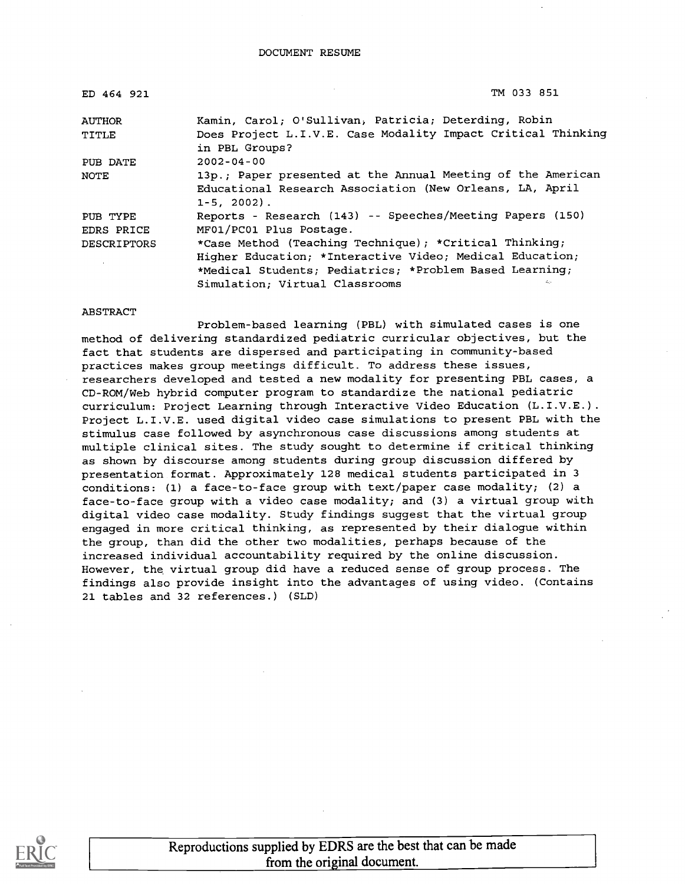| ED 464 921         | TM 033 851                                                                                                                               |
|--------------------|------------------------------------------------------------------------------------------------------------------------------------------|
| AUTHOR             | Kamin, Carol; O'Sullivan, Patricia; Deterding, Robin                                                                                     |
| TITLE              | Does Project L.I.V.E. Case Modality Impact Critical Thinking<br>in PBL Groups?                                                           |
| PUB DATE           | $2002 - 04 - 00$                                                                                                                         |
| NOTE               | 13p.; Paper presented at the Annual Meeting of the American<br>Educational Research Association (New Orleans, LA, April<br>$1-5, 2002$ . |
| PUB TYPE           | Reports - Research (143) -- Speeches/Meeting Papers (150)                                                                                |
| EDRS PRICE         | MF01/PC01 Plus Postage.                                                                                                                  |
| <b>DESCRIPTORS</b> | *Case Method (Teaching Technique); *Critical Thinking;                                                                                   |
|                    | Higher Education; *Interactive Video; Medical Education;                                                                                 |
|                    | *Medical Students; Pediatrics; *Problem Based Learning;                                                                                  |
|                    | Simulation; Virtual Classrooms<br>45                                                                                                     |

#### ABSTRACT

Problem-based learning (PBL) with simulated cases is one method of delivering standardized pediatric curricular objectives, but the fact that students are dispersed and participating in community-based practices makes group meetings difficult. To address these issues, researchers developed and tested a new modality for presenting PBL cases, a CD-ROM/Web hybrid computer program to standardize the national pediatric curriculum: Project Learning through Interactive Video Education (L.I.V.E.). Project L.I.V.E. used digital video case simulations to present PBL with the stimulus case followed by asynchronous case discussions among students at multiple clinical sites. The study sought to determine if critical thinking as shown by discourse among students during group discussion differed by presentation format. Approximately 128 medical students participated in 3 conditions: (1) a face-to-face group with text/paper case modality; (2) a face-to-face group with a video case modality; and (3) a virtual group with digital video case modality. Study findings suggest that the virtual group engaged in more critical thinking, as represented by their dialogue within the group, than did the other two modalities, perhaps because of the increased individual accountability required by the online discussion. However, the virtual group did have a reduced sense of group process. The findings also provide insight into the advantages of using video. (Contains 21 tables and 32 references.) (SLD)



Reproductions supplied by EDRS are the best that can be made from the original document.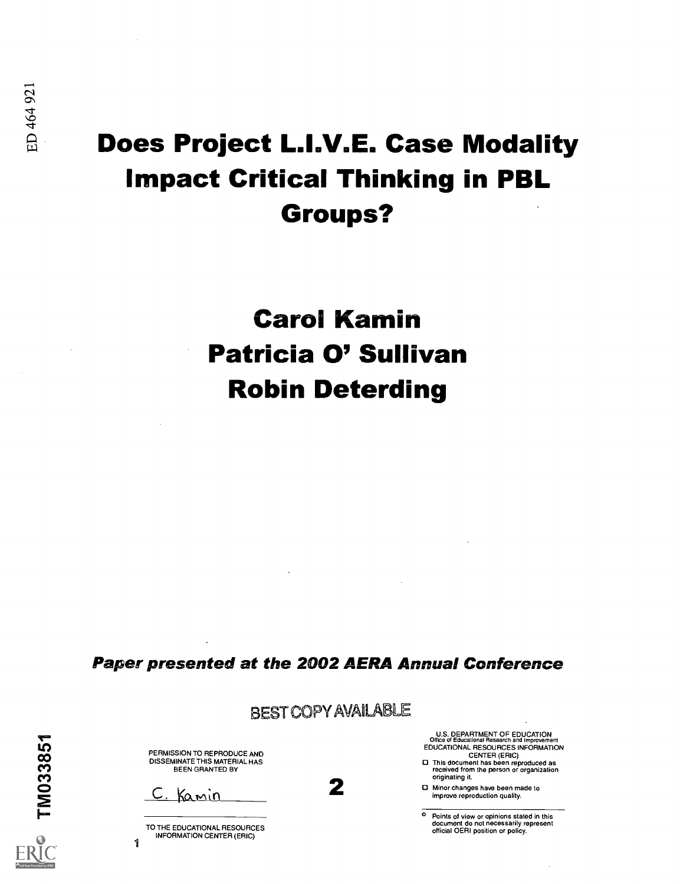## Does Project L.I.V.E. Case Modality Impact Critical Thinking in PBL Groups?

# Carol Kamin Patricia 0' Sullivan Robin Deterding

Paper presented at the 2002 AERA Annual Conference

BEST COPY AVAILABLE

| ₹      |  |  |
|--------|--|--|
| い      |  |  |
| ထ      |  |  |
| ო<br>ო |  |  |
| o      |  |  |
|        |  |  |

1

PERMISSION TO REPRODUCE AND<br>DISSEMINATE THIS MATERIAL HAS BEEN GRANTED BY

<u>Kamin</u>

TO THE EDUCATIONAL RESOURCES INFORMATION CENTER (ERIC)

U.S. DEPARTMENT OF EDUCATION Office of Educational Research and Improvement EDUCATIONAL RESOURCES INFORMATION

CENTER (ERIC) O This document has been reproduced as received from the person or organization originating it.

Originating it.<br>
■ Minor changes have been made to<br>
improve reproduction quality. improve reproduction quality.

> o Points of view or opinions stated in this document do not necessarily represent official OERI position or policy.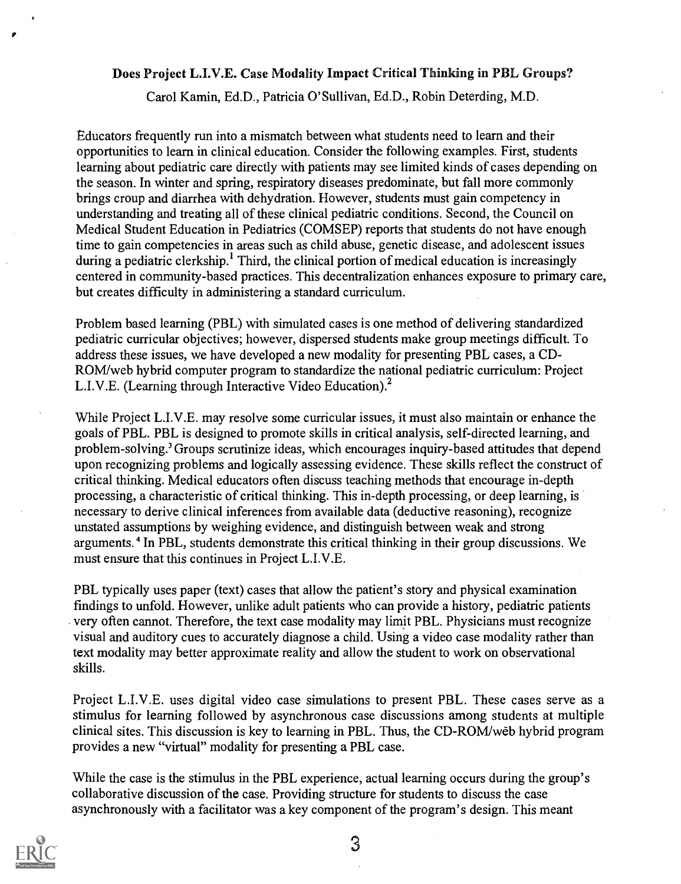#### Does Project L.I.V.E. Case Modality Impact Critical Thinking in PBL Groups?

Carol Kamin, Ed.D., Patricia O'Sullivan, Ed.D., Robin Deterding, M.D.

Educators frequently run into a mismatch between what students need to learn and their opportunities to learn in clinical education. Consider the following examples. First, students learning about pediatric care directly with patients may see limited kinds of cases depending on the season. In winter and spring, respiratory diseases predominate, but fall more commonly brings croup and diarrhea with dehydration. However, students must gain competency in understanding and treating all of these clinical pediatric conditions. Second, the Council on Medical Student Education in Pediatrics (COMSEP) reports that students do not have enough time to gain competencies in areas such as child abuse, genetic disease, and adolescent issues during a pediatric clerkship.<sup>1</sup> Third, the clinical portion of medical education is increasingly centered in community-based practices. This decentralization enhances exposure to primary care, but creates difficulty in administering a standard curriculum.

Problem based learning (PBL) with simulated cases is one method of delivering standardized pediatric curricular objectives; however, dispersed students make group meetings difficult. To address these issues, we have developed a new modality for presenting PBL cases, a CD-ROM/web hybrid computer program to standardize the national pediatric curriculum: Project L.I.V.E. (Learning through Interactive Video Education).<sup>2</sup>

While Project L.I.V.E. may resolve some curricular issues, it must also maintain or enhance the goals of PBL. PBL is designed to promote skills in critical analysis, self-directed learning, and problem-solving.' Groups scrutinize ideas, which encourages inquiry-based attitudes that depend upon recognizing problems and logically assessing evidence. These skills reflect the construct of critical thinking. Medical educators often discuss teaching methods that encourage in-depth processing, a characteristic of critical thinking. This in-depth processing, or deep learning, is necessary to derive clinical inferences from available data (deductive reasoning), recognize unstated assumptions by weighing evidence, and distinguish between weak and strong arguments.<sup>4</sup> In PBL, students demonstrate this critical thinking in their group discussions. We must ensure that this continues in Project L.I.V.E.

PBL typically uses paper (text) cases that allow the patient's story and physical examination findings to unfold. However, unlike adult patients who can provide a history, pediatric patients very often cannot. Therefore, the text case modality may limit PBL. Physicians must recognize visual and auditory cues to accurately diagnose a child. Using a video case modality rather than text modality may better approximate reality and allow the student to work on observational skills.

Project L.I.V.E. uses digital video case simulations to present PBL. These cases serve as a stimulus for learning followed by asynchronous case discussions among students at multiple clinical sites. This discussion is key to learning in PBL. Thus, the CD-ROM/web hybrid program provides a new "virtual" modality for presenting a PBL case.

While the case is the stimulus in the PBL experience, actual learning occurs during the group's collaborative discussion of the case. Providing structure for students to discuss the case asynchronously with a facilitator was a key component of the program's design. This meant

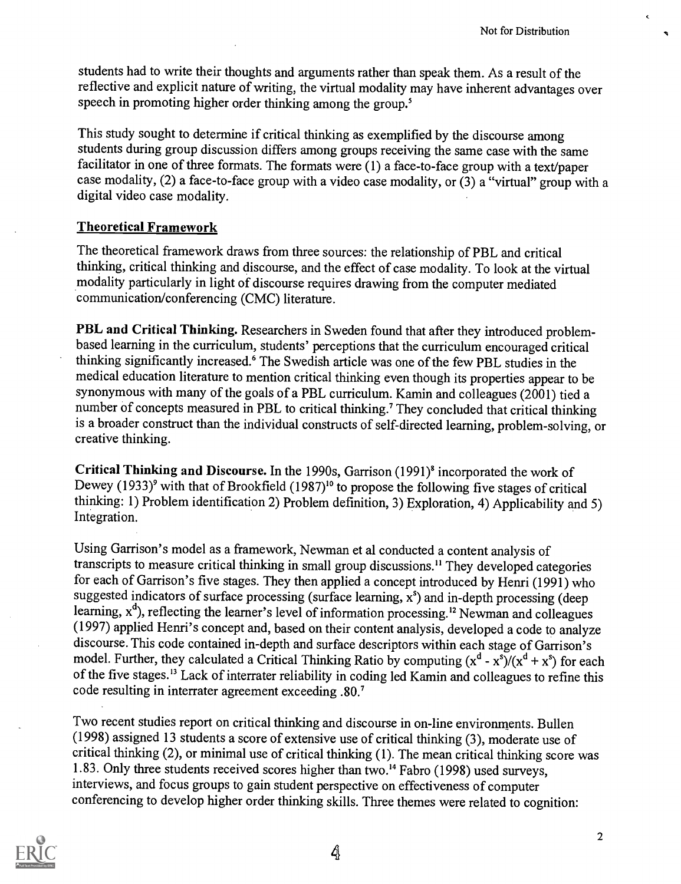students had to write their thoughts and arguments rather than speak them. As a result of the reflective and explicit nature of writing, the virtual modality may have inherent advantages over speech in promoting higher order thinking among the group.'

This study sought to determine if critical thinking as exemplified by the discourse among students during group discussion differs among groups receiving the same case with the same facilitator in one of three formats. The formats were (1) a face-to-face group with a text/paper case modality, (2) a face-to-face group with a video case modality, or (3) a "virtual" group with a digital video case modality.

### Theoretical Framework

The theoretical framework draws from three sources: the relationship of PBL and critical thinking, critical thinking and discourse, and the effect of case modality. To look at the virtual modality particularly in light of discourse requires drawing from the computer mediated communication/conferencing (CMC) literature.

PBL and Critical Thinking. Researchers in Sweden found that after they introduced problembased learning in the curriculum, students' perceptions that the curriculum encouraged critical thinking significantly increased.' The Swedish article was one of the few PBL studies in the medical education literature to mention critical thinking even though its properties appear to be synonymous with many of the goals of a PBL curriculum. Kamin and colleagues (2001) tied a number of concepts measured in PBL to critical thinking.' They concluded that critical thinking is a broader construct than the individual constructs of self-directed learning, problem-solving, or creative thinking.

Critical Thinking and Discourse. In the 1990s, Garrison (1991)<sup>8</sup> incorporated the work of Dewey (1933)<sup>9</sup> with that of Brookfield (1987)<sup>10</sup> to propose the following five stages of critical thinking: 1) Problem identification 2) Problem definition, 3) Exploration, 4) Applicability and 5) Integration.

Using Garrison's model as a framework, Newman et al conducted a content analysis of transcripts to measure critical thinking in small group discussions." They developed categories for each of Garrison's five stages. They then applied a concept introduced by Henri (1991) who suggested indicators of surface processing (surface learning,  $x^s$ ) and in-depth processing (deep learning, x<sup>d</sup>), reflecting the learner's level of information processing.<sup>12</sup> Newman and colleagues (1997) applied Henri's concept and, based on their content analysis, developed a code to analyze discourse. This code contained in-depth and surface descriptors within each stage of Garrison's model. Further, they calculated a Critical Thinking Ratio by computing  $(x^d - x^s)/(x^d + x^s)$  for each of the five stages.<sup>13</sup> Lack of interrater reliability in coding led Kamin and colleagues to refine this code resulting in interrater agreement exceeding .80.7

Two recent studies report on critical thinking and discourse in on-line environments. Bullen (1998) assigned 13 students a score of extensive use of critical thinking (3), moderate use of critical thinking (2), or minimal use of critical thinking (1). The mean critical thinking score was 1.83. Only three students received scores higher than two.<sup>14</sup> Fabro (1998) used surveys, interviews, and focus groups to gain student perspective on effectiveness of computer conferencing to develop higher order thinking skills. Three themes were related to cognition:

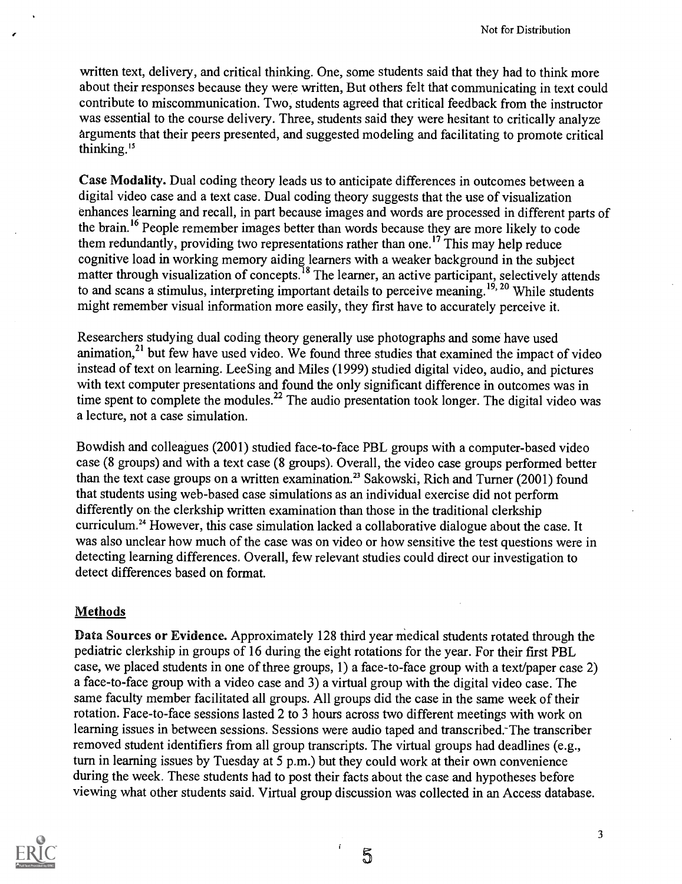written text, delivery, and critical thinking. One, some students said that they had to think more about their responses because they were written, But others felt that communicating in text could contribute to miscommunication. Two, students agreed that critical feedback from the instructor was essential to the course delivery. Three, students said they were hesitant to critically analyze arguments that their peers presented, and suggested modeling and facilitating to promote critical thinking.'

Case Modality. Dual coding theory leads us to anticipate differences in outcomes between a digital video case and a text case. Dual coding theory suggests that the use of visualization enhances learning and recall, in part because images and words are processed in different parts of the brain.16 People remember images better than words because they are more likely to code them redundantly, providing two representations rather than one.<sup>17</sup> This may help reduce cognitive load in working memory aiding learners with a weaker background in the subject matter through visualization of concepts.<sup>18</sup> The learner, an active participant, selectively attends to and scans a stimulus, interpreting important details to perceive meaning.<sup>19, 20</sup> While students might remember visual information more easily, they first have to accurately perceive it.

Researchers studying dual coding theory generally use photographs and some have used animation, $^{21}$  but few have used video. We found three studies that examined the impact of video instead of text on learning. LeeSing and Miles (1999) studied digital video, audio, and pictures with text computer presentations and found the only significant difference in outcomes was in time spent to complete the modules.<sup>22</sup> The audio presentation took longer. The digital video was a lecture, not a case simulation.

Bowdish and colleagues (2001) studied face-to-face PBL groups with a computer-based video case (8 groups) and with a text case (8 groups). Overall, the video case groups performed better than the text case groups on a written examination.<sup>23</sup> Sakowski, Rich and Turner (2001) found that students using web-based case simulations as an individual exercise did not perform differently on the clerkship written examination than those in the traditional clerkship curriculum.<sup>24</sup> However, this case simulation lacked a collaborative dialogue about the case. It was also unclear how much of the case was on video or how sensitive the test questions were in detecting learning differences. Overall, few relevant studies could direct our investigation to detect differences based on format.

### **Methods**

Data Sources or Evidence. Approximately 128 third year medical students rotated through the pediatric clerkship in groups of 16 during the eight rotations for the year. For their first PBL case, we placed students in one of three groups, 1) a face-to-face group with a text/paper case 2) a face-to-face group with a video case and 3) a virtual group with the digital video case. The same faculty member facilitated all groups. All groups did the case in the same week of their rotation. Face-to-face sessions lasted 2 to 3 hours across two different meetings with work on learning issues in between sessions. Sessions were audio taped and transcribed. The transcriber removed student identifiers from all group transcripts. The virtual groups had deadlines (e.g., turn in learning issues by Tuesday at 5 p.m.) but they could work at their own convenience during the week. These students had to post their facts about the case and hypotheses before viewing what other students said. Virtual group discussion was collected in an Access database.



5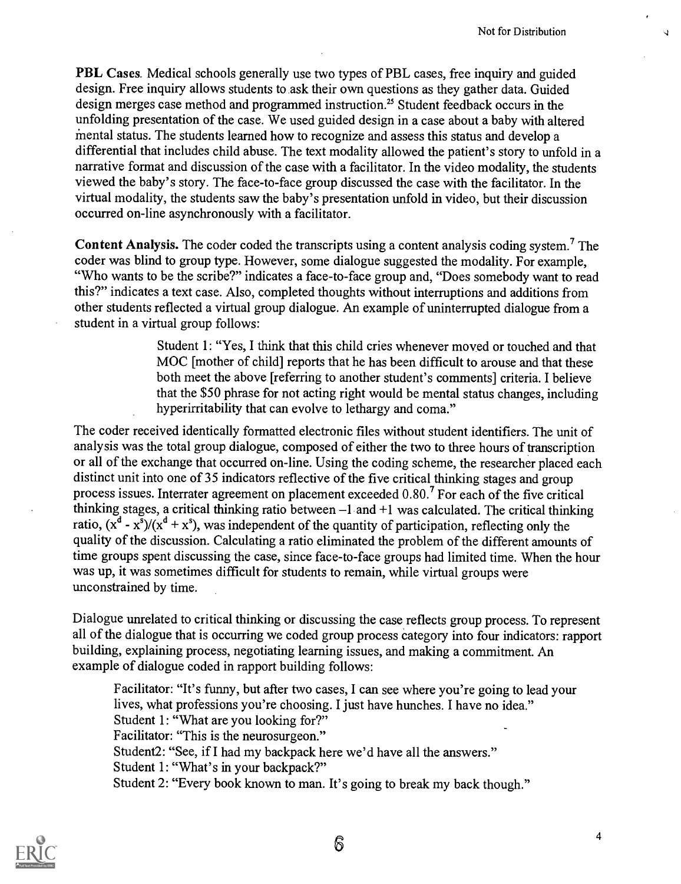PBL Cases. Medical schools generally use two types of PBL cases, free inquiry and guided design. Free inquiry allows students to ask their own questions as they gather data. Guided design merges case method and programmed instruction.<sup>25</sup> Student feedback occurs in the unfolding presentation of the case. We used guided design in a case about a baby with altered mental status. The students learned how to recognize and assess this status and develop a differential that includes child abuse. The text modality allowed the patient's story to unfold ina narrative format and discussion of the case with a facilitator. In the video modality, the students viewed the baby's story. The face-to-face group discussed the case with the facilitator. In the virtual modality, the students saw the baby's presentation unfold in video, but their discussion occurred on-line asynchronously with a facilitator.

Content Analysis. The coder coded the transcripts using a content analysis coding system.<sup>7</sup> The coder was blind to group type. However, some dialogue suggested the modality. For example, "Who wants to be the scribe?" indicates a face-to-face group and, "Does somebody want to read this?" indicates a text case. Also, completed thoughts without interruptions and additions from other students reflected a virtual group dialogue. An example of uninterrupted dialogue from a student in a virtual group follows:

> Student 1: "Yes, I think that this child cries whenever moved or touched and that MOC [mother of child] reports that he has been difficult to arouse and that these both meet the above [referring to another student's comments] criteria. I believe that the \$50 phrase for not acting right would be mental status changes, including hyperirritability that can evolve to lethargy and coma."

The coder received identically formatted electronic files without student identifiers. The unit of analysis was the total group dialogue, composed of either the two to three hours of transcription or all of the exchange that occurred on-line. Using the coding scheme, the researcher placed each distinct unit into one of 35 indicators reflective of the five critical thinking stages and group process issues. Interrater agreement on placement exceeded 0.80.7 For each of the five critical thinking stages, a critical thinking ratio between  $-1$  and  $+1$  was calculated. The critical thinking ratio,  $(x^d - x^s)/(x^d + x^s)$ , was independent of the quantity of participation, reflecting only the quality of the discussion. Calculating a ratio eliminated the problem of the different amounts of time groups spent discussing the case, since face-to-face groups had limited time. When the hour was up, it was sometimes difficult for students to remain, while virtual groups were unconstrained by time.

Dialogue unrelated to critical thinking or discussing the case reflects group process. To represent all of the dialogue that is occurring we coded group process category into four indicators: rapport building, explaining process, negotiating learning issues, and making a commitment. An example of dialogue coded in rapport building follows:

Facilitator: "It's funny, but after two cases, I can see where you're going to lead your lives, what professions you're choosing. I just have hunches. I have no idea." Student 1: "What are you looking for?" Facilitator: "This is the neurosurgeon." Student2: "See, if I had my backpack here we'd have all the answers." Student 1: "What's in your backpack?" Student 2: "Every book known to man. It's going to break my back though."



6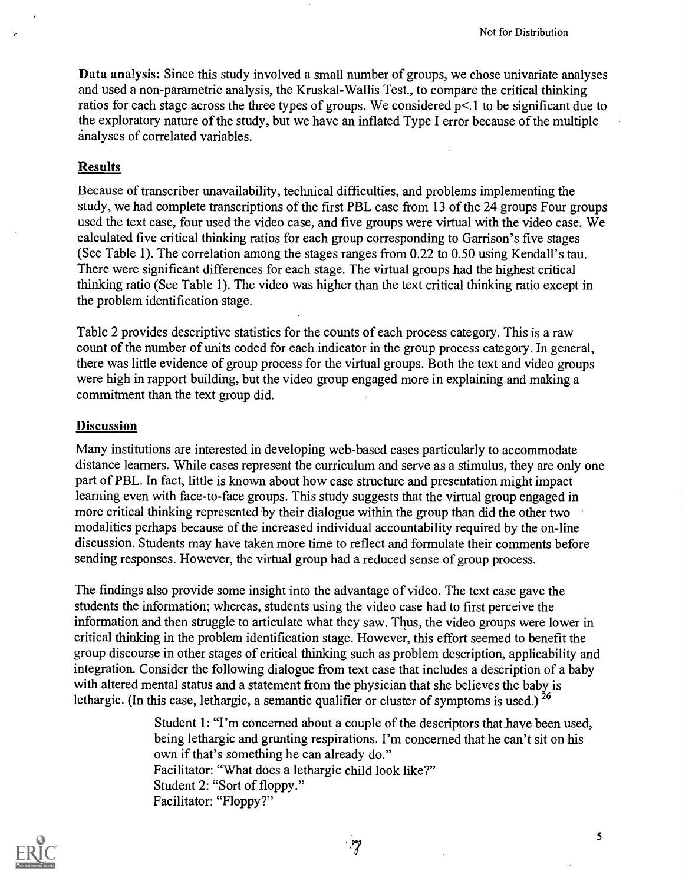Data analysis: Since this study involved a small number of groups, we chose univariate analyses and used a non-parametric analysis, the Kruskal-Wallis Test., to compare the critical thinking ratios for each stage across the three types of groups. We considered p<.1 to be significant due to the exploratory nature of the study, but we have an inflated Type I error because of the multiple analyses of correlated variables.

#### **Results**

÷,

Because of transcriber unavailability, technical difficulties, and problems implementing the study, we had complete transcriptions of the first PBL case from 13 of the 24 groups Four groups used the text case, four used the video case, and five groups were virtual with the video case. We calculated five critical thinking ratios for each group corresponding to Garrison's five stages (See Table 1). The correlation among the stages ranges from 0.22 to 0.50 using Kendall's tau. There were significant differences for each stage. The virtual groups had the highest critical thinking ratio (See Table 1). The video was higher than the text critical thinking ratio except in the problem identification stage.

Table 2 provides descriptive statistics for the counts of each process category. This is a raw count of the number of units coded for each indicator in the group process category. In general, there was little evidence of group process for the virtual groups. Both the text and video groups were high in rapport building, but the video group engaged more in explaining and making a commitment than the text group did.

#### Discussion

Many institutions are interested in developing web-based cases particularly to accommodate distance learners. While cases represent the curriculum and serve as a stimulus, they are only one part of PBL. In fact, little is known about how case structure and presentation might impact learning even with face-to-face groups. This study suggests that the virtual group engaged in more critical thinking represented by their dialogue within the group than did the other two modalities perhaps because of the increased individual accountability required by the on-line discussion. Students may have taken more time to reflect and formulate their comments before sending responses. However, the virtual group had a reduced sense of group process.

The findings also provide some insight into the advantage of video. The text case gave the students the information; whereas, students using the video case had to first perceive the information and then struggle to articulate what they saw. Thus, the video groups were lower in critical thinking in the problem identification stage. However, this effort seemed to benefit the group discourse in other stages of critical thinking such as problem description, applicability and integration. Consider the following dialogue from text case that includes a description of a baby with altered mental status and a statement from the physician that she believes the baby is lethargic. (In this case, lethargic, a semantic qualifier or cluster of symptoms is used.)  $^{26}$ 

> Student 1: "I'm concerned about a couple of the descriptors that have been used, being lethargic and grunting respirations. I'm concerned that he can't sit on his own if that's something he can already do." Facilitator: "What does a lethargic child look like?" Student 2: "Sort of floppy." Facilitator: "Floppy?"



.్7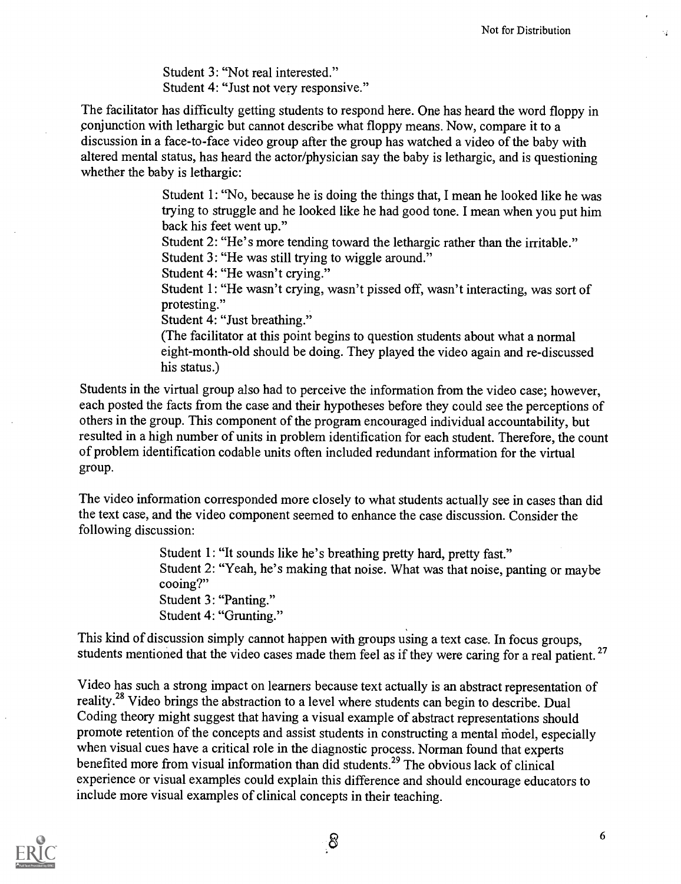Student 3: "Not real interested." Student 4: "Just not very responsive."

The facilitator has difficulty getting students to respond here. One has heard the word floppy in conjunction with lethargic but cannot describe what floppy means. Now, compare it to a discussion in a face-to-face video group after the group has watched a video of the baby with altered mental status, has heard the actor/physician say the baby is lethargic, and is questioning whether the baby is lethargic:

> Student 1: "No, because he is doing the things that, I mean he looked like he was trying to struggle and he looked like he had good tone. I mean when you put him back his feet went up."

Student 2: "He's more tending toward the lethargic rather than the irritable." Student 3: "He was still trying to wiggle around."

Student 4: "He wasn't crying."

Student 1: "He wasn't crying, wasn't pissed off, wasn't interacting, was sort of protesting."

Student 4: "Just breathing."

(The facilitator at this point begins to question students about what a normal eight-month-old should be doing. They played the video again and re-discussed his status.)

Students in the virtual group also had to perceive the information from the video case; however, each posted the facts from the case and their hypotheses before they could see the perceptions of others in the group. This component of the program encouraged individual accountability, but resulted in a high number of units in problem identification for each student. Therefore, the count of problem identification codable units often included redundant information for the virtual group.

The video information corresponded more closely to what students actually see in cases than did the text case, and the video component seemed to enhance the case discussion. Consider the following discussion:

> Student 1: "It sounds like he's breathing pretty hard, pretty fast." Student 2: "Yeah, he's making that noise. What was that noise, panting or maybe cooing?" Student 3: "Panting." Student 4: "Grunting."

This kind of discussion simply cannot happen with groups using a text case. In focus groups, students mentioned that the video cases made them feel as if they were caring for a real patient.<sup>27</sup>

Video has such a strong impact on learners because text actually is an abstract representation of reality.<sup>28</sup> Video brings the abstraction to a level where students can begin to describe. Dual Coding theory might suggest that having a visual example of abstract representations should promote retention of the concepts and assist students in constructing a mental niodel, especially when visual cues have a critical role in the diagnostic process. Norman found that experts benefited more from visual information than did students.<sup>29</sup> The obvious lack of clinical experience or visual examples could explain this difference and should encourage educators to include more visual examples of clinical concepts in their teaching.

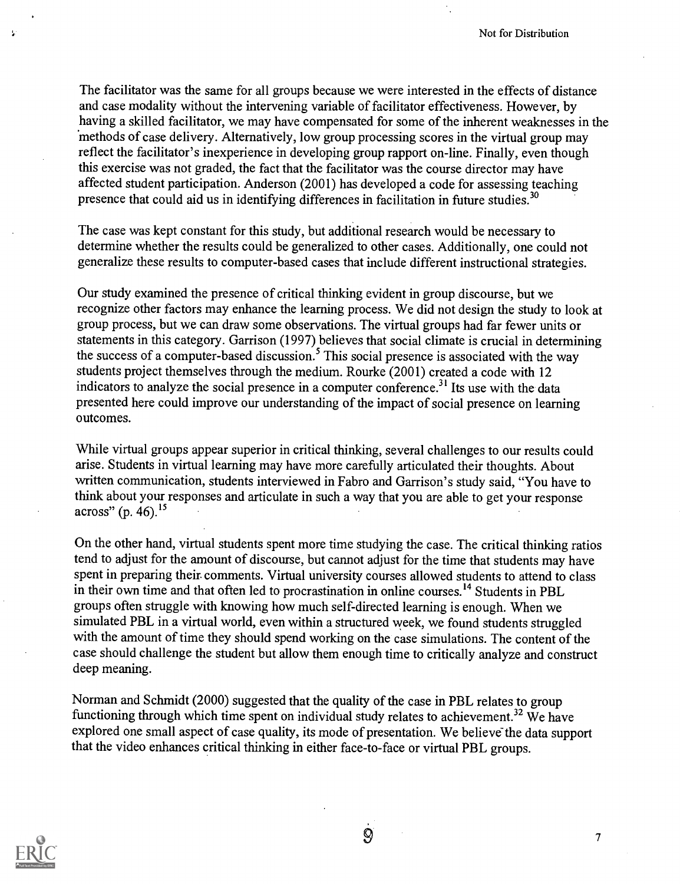The facilitator was the same for all groups because we were interested in the effects of distance and case modality without the intervening variable of facilitator effectiveness. However, by having a skilled facilitator, we may have compensated for some of the inherent weaknesses in the 'methods of case delivery. Alternatively, low group processing scores in the virtual group may reflect the facilitator's inexperience in developing group rapport on-line. Finally, even though this exercise was not graded, the fact that the facilitator was the course director may have affected student participation. Anderson (2001) has developed a code for assessing teaching presence that could aid us in identifying differences in facilitation in future studies.<sup>30</sup>

The case was kept constant for this study, but additional research would be necessary to determine whether the results could be generalized to other cases. Additionally, one could not generalize these results to computer-based cases that include different instructional strategies.

Our study examined the presence of critical thinking evident in group discourse, but we recognize other factors may enhance the learning process. We did not design the study to look at group process, but we can draw some observations. The virtual groups had far fewer units or statements in this category. Garrison (1997) believes that social climate is crucial in determining the success of a computer-based discussion.<sup>5</sup> This social presence is associated with the way students project themselves through the medium. Rourke (2001) created a code with 12 indicators to analyze the social presence in a computer conference.<sup>31</sup> Its use with the data presented here could improve our understanding of the impact of social presence on learning outcomes.

While virtual groups appear superior in critical thinking, several challenges to our results could arise. Students in virtual learning may have more carefully articulated their thoughts. About written communication, students interviewed in Fabro and Garrison's study said, "You have to think about your responses and articulate in such a way that you are able to get your response across" (p.  $46$ ).<sup>15</sup>

On the other hand, virtual students spent more time studying the case. The critical thinking ratios tend to adjust for the amount of discourse, but cannot adjust for the time that students may have spent in preparing their. comments. Virtual university courses allowed students to attend to class in their own time and that often led to procrastination in online courses.<sup>14</sup> Students in PBL groups often struggle with knowing how much self-directed learning is enough. When we simulated PBL in a virtual world, even within a structured week, we found students struggled with the amount of time they should spend working on the case simulations. The content of the case should challenge the student but allow them enough time to critically analyze and construct deep meaning.

Norman and Schmidt (2000) suggested that the quality of the case in PBL relates to group functioning through which time spent on individual study relates to achievement.<sup>32</sup> We have explored one small aspect of case quality, its mode of presentation. We believe the data support that the video enhances critical thinking in either face-to-face or virtual PBL groups.



Ł.

 $\mathcal{Q}$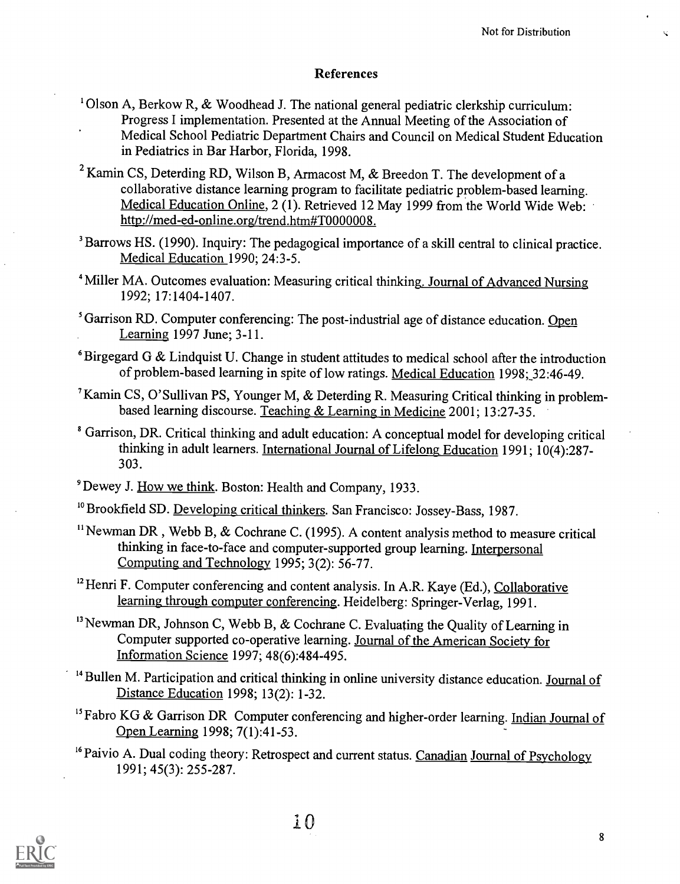### References

- <sup>1</sup> Olson A, Berkow R, & Woodhead J. The national general pediatric clerkship curriculum: Progress I implementation. Presented at the Annual Meeting of the Association of Medical School Pediatric Department Chairs and Council on Medical Student Education in Pediatrics in Bar Harbor, Florida, 1998.
- <sup>2</sup> Kamin CS, Deterding RD, Wilson B, Armacost M, & Breedon T. The development of a collaborative distance learning program to facilitate pediatric problem-based learning. Medical Education Online, 2 (1). Retrieved 12 May 1999 from the World Wide Web: http://med-ed-online.org/trend.htm#T0000008.
- <sup>3</sup> Barrows HS. (1990). Inquiry: The pedagogical importance of a skill central to clinical practice. Medical Education 1990; 24:3-5.
- <sup>4</sup> Miller MA. Outcomes evaluation: Measuring critical thinking. Journal of Advanced Nursing 1992; 17:1404-1407.
- <sup>5</sup> Garrison RD. Computer conferencing: The post-industrial age of distance education. Open Learning 1997 June; 3-11.
- $6$ Birgegard G & Lindquist U. Change in student attitudes to medical school after the introduction of problem-based learning in spite of low ratings. Medical Education 1998; 32:46-49.
- <sup>7</sup>Kamin CS, O'Sullivan PS, Younger M, & Deterding R. Measuring Critical thinking in problembased learning discourse. Teaching & Learning in Medicine 2001; 13:27-35.
- Garrison, DR. Critical thinking and adult education: A conceptual model for developing critical thinking in adult learners. International Journal of Lifelong Education 1991; 10(4):287- 303.
- <sup>9</sup> Dewey J. How we think. Boston: Health and Company, 1933.
- <sup>10</sup> Brookfield SD. Developing critical thinkers. San Francisco: Jossey-Bass, 1987.
- <sup>11</sup> Newman DR, Webb B, & Cochrane C. (1995). A content analysis method to measure critical thinking in face-to-face and computer-supported group learning. Interpersonal Computing and Technology 1995; 3(2): 56-77.
- $12$  Henri F. Computer conferencing and content analysis. In A.R. Kaye (Ed.), Collaborative learning through computer conferencing. Heidelberg: Springer-Verlag, 1991.
- $13$  Newman DR, Johnson C, Webb B, & Cochrane C. Evaluating the Quality of Learning in Computer supported co-operative learning. Journal of the American Society for Information Science 1997; 48(6):484-495.
- $14$  Bullen M. Participation and critical thinking in online university distance education. Journal of Distance Education 1998; 13(2): 1-32.
- <sup>15</sup> Fabro KG & Garrison DR Computer conferencing and higher-order learning. Indian Journal of Open Learning 1998; 7(1):41-53.
- <sup>16</sup> Paivio A. Dual coding theory: Retrospect and current status. Canadian Journal of Psychology 1991; 45(3): 255-287.

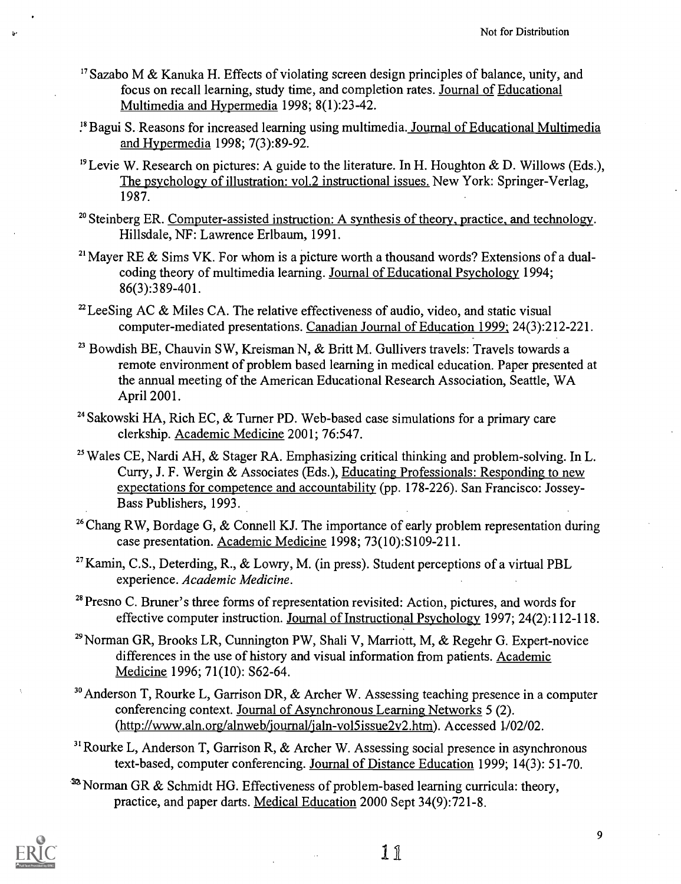- $17$  Sazabo M & Kanuka H. Effects of violating screen design principles of balance, unity, and focus on recall learning, study time, and completion rates. Journal of Educational Multimedia and Hypermedia 1998; 8(1):23-42.
- <sup>18</sup> Bagui S. Reasons for increased learning using multimedia. Journal of Educational Multimedia and Hypermedia 1998; 7(3):89-92.
- <sup>19</sup> Levie W. Research on pictures: A guide to the literature. In H. Houghton & D. Willows (Eds.), The psychology of illustration: vol.2 instructional issues. New York: Springer-Verlag, 1987.
- <sup>20</sup> Steinberg ER. Computer-assisted instruction: A synthesis of theory, practice, and technology. Hillsdale, NF: Lawrence Erlbaum, 1991.
- <sup>21</sup> Mayer RE & Sims VK. For whom is a picture worth a thousand words? Extensions of a dualcoding theory of multimedia learning. Journal of Educational Psychology 1994; 86(3):389-401.
- <sup>22</sup> LeeSing AC & Miles CA. The relative effectiveness of audio, video, and static visual computer-mediated presentations. Canadian Journal of Education 1999; 24(3):212-221.
- $23$  Bowdish BE, Chauvin SW, Kreisman N, & Britt M. Gullivers travels: Travels towards a remote environment of problem based learning in medical education. Paper presented at the annual meeting of the American Educational Research Association, Seattle, WA April 2001.
- <sup>24</sup> Sakowski HA, Rich EC,  $&$  Turner PD. Web-based case simulations for a primary care clerkship. Academic Medicine 2001; 76:547.
- <sup>25</sup> Wales CE, Nardi AH,  $\&$  Stager RA. Emphasizing critical thinking and problem-solving. In L. Curry, J. F. Wergin & Associates (Eds.), Educating Professionals: Responding to new expectations for competence and accountability (pp. 178-226). San Francisco: Jossey-Bass Publishers, 1993.
- <sup>26</sup> Chang RW, Bordage G, & Connell KJ. The importance of early problem representation during case presentation. Academic Medicine 1998; 73(10):S109-211.
- <sup>27</sup> Kamin, C.S., Deterding, R., & Lowry, M. (in press). Student perceptions of a virtual PBL experience. Academic Medicine.
- <sup>28</sup> Presno C. Bruner's three forms of representation revisited: Action, pictures, and words for effective computer instruction. Journal of Instructional Psychology 1997; 24(2):112-118.
- <sup>29</sup> Norman GR, Brooks LR, Cunnington PW, Shali V, Marriott, M, & Regehr G. Expert-novice differences in the use of history and visual information from patients. Academic Medicine 1996; 71(10): S62-64.
- $30$  Anderson T, Rourke L, Garrison DR, & Archer W. Assessing teaching presence in a computer conferencing context. Journal of Asynchronous Learning Networks 5 (2). (http://www.aln.org/alnweb/journal/jaln-vol5issue2v2.htm). Accessed 1102/02.
- $31$  Rourke L, Anderson T, Garrison R, & Archer W. Assessing social presence in asynchronous text-based, computer conferencing. Journal of Distance Education 1999; 14(3): 51-70.
- <sup>32</sup> Norman GR & Schmidt HG. Effectiveness of problem-based learning curricula: theory, practice, and paper darts. Medical Education 2000 Sept 34(9):721-8.



1 1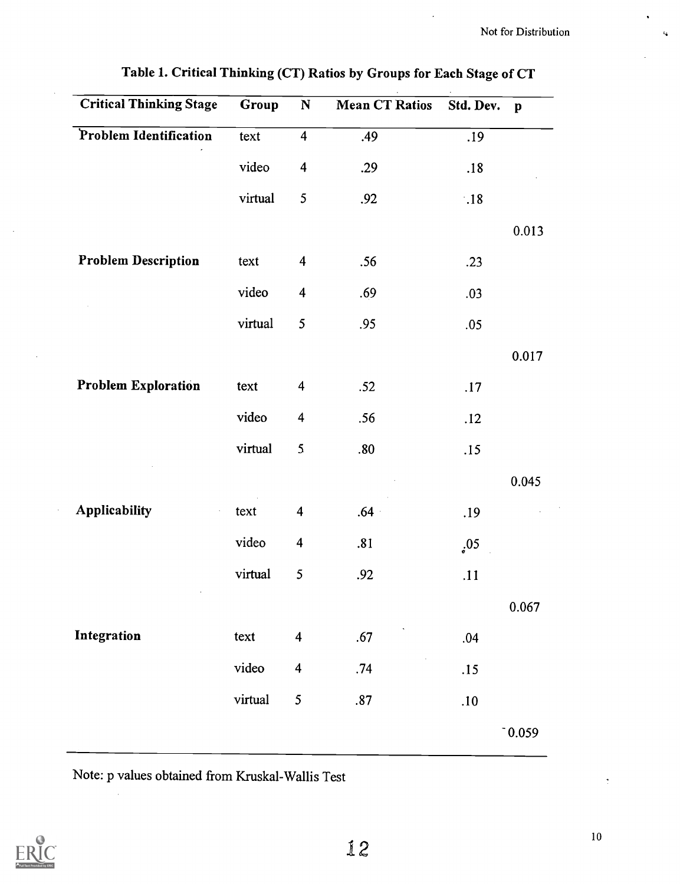| <b>Critical Thinking Stage</b> | Group   | ${\bf N}$               | <b>Mean CT Ratios</b> | Std. Dev.   | $\mathbf{p}$ |
|--------------------------------|---------|-------------------------|-----------------------|-------------|--------------|
| Problem Identification         | text    | $\overline{\mathbf{4}}$ | .49                   | .19         |              |
|                                | video   | $\overline{\mathbf{4}}$ | .29                   | .18         |              |
|                                | virtual | 5                       | .92                   | $\cdot .18$ |              |
|                                |         |                         |                       |             | 0.013        |
| <b>Problem Description</b>     | text    | $\overline{\mathbf{4}}$ | .56                   | .23         |              |
|                                | video   | $\overline{\mathbf{4}}$ | .69                   | .03         |              |
|                                | virtual | 5                       | .95                   | .05         |              |
|                                |         |                         |                       |             | 0.017        |
| <b>Problem Exploration</b>     | text    | $\overline{\mathbf{4}}$ | .52                   | .17         |              |
|                                | video   | $\overline{\mathbf{4}}$ | .56                   | .12         |              |
|                                | virtual | $\mathfrak{S}$          | .80                   | .15         |              |
|                                |         |                         |                       |             | 0.045        |
| Applicability                  | text    | $\overline{\mathbf{4}}$ | $.64+$                | .19         |              |
|                                | video   | $\overline{\mathbf{4}}$ | .81                   | .05         |              |
|                                | virtual | 5                       | .92                   | .11         |              |
|                                |         |                         |                       |             | 0.067        |
| Integration                    | text    | $\overline{\mathbf{4}}$ | .67                   | .04         |              |
|                                | video   | $\overline{\mathbf{4}}$ | .74                   | .15         |              |
|                                | virtual | 5                       | .87                   | $.10$       |              |
|                                |         |                         |                       |             | $0.059$      |

Table I. Critical Thinking (CT) Ratios by Groups for Each Stage of CT

Note: p values obtained from Kruskal-Wallis Test



÷,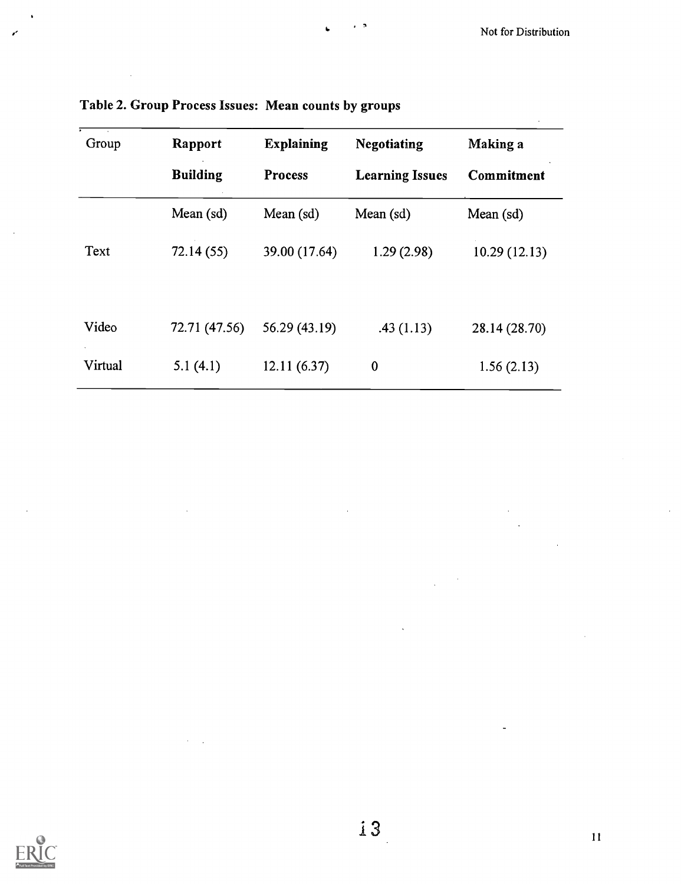| Group   | Rapport         | <b>Explaining</b> | <b>Negotiating</b>     | Making a      |
|---------|-----------------|-------------------|------------------------|---------------|
|         | <b>Building</b> | <b>Process</b>    | <b>Learning Issues</b> | Commitment    |
|         | Mean (sd)       | Mean $(sd)$       | Mean (sd)              | Mean (sd)     |
| Text    | 72.14(55)       | 39.00 (17.64)     | 1.29(2.98)             | 10.29(12.13)  |
| Video   | 72.71 (47.56)   | 56.29 (43.19)     | .43(1.13)              | 28.14 (28.70) |
| Virtual | 5.1(4.1)        | 12.11(6.37)       | $\boldsymbol{0}$       | 1.56(2.13)    |

Table 2. Group Process Issues: Mean counts by groups

 $\sim$   $\sim$ 



 $\frac{1}{2}$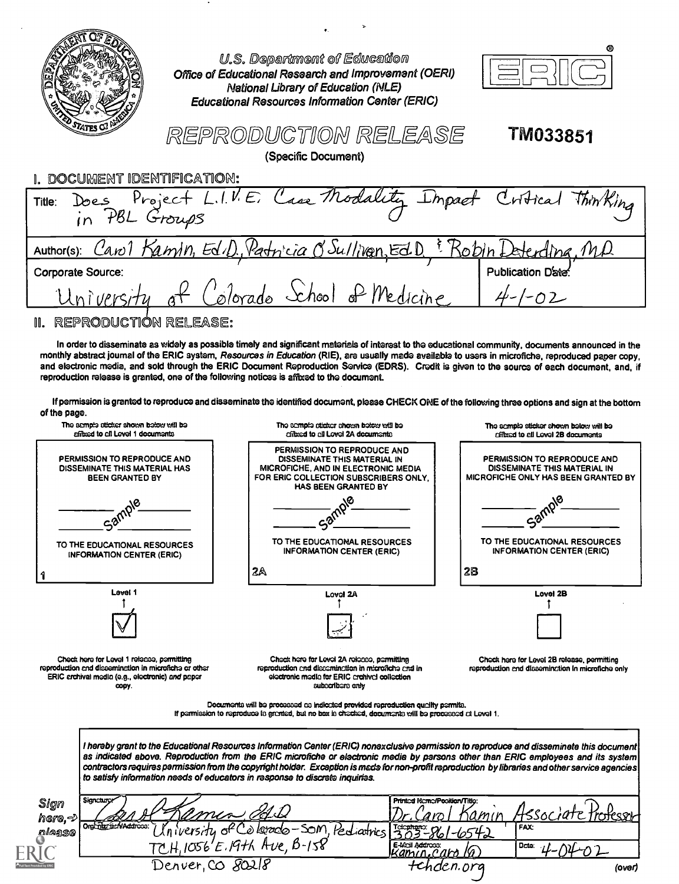|                                                                                                                                                                                        | U.S. Department of Education<br>Office of Educational Research and Improvement (OERI)<br>National Library of Education (NLE)<br><b>Educational Resources Information Center (ERIC)</b>                                                                                                                                                                                                                                            |                                                                                                           |  |  |  |
|----------------------------------------------------------------------------------------------------------------------------------------------------------------------------------------|-----------------------------------------------------------------------------------------------------------------------------------------------------------------------------------------------------------------------------------------------------------------------------------------------------------------------------------------------------------------------------------------------------------------------------------|-----------------------------------------------------------------------------------------------------------|--|--|--|
| REPRODUCTION RELEASE<br>TM033851<br>(Specific Document)                                                                                                                                |                                                                                                                                                                                                                                                                                                                                                                                                                                   |                                                                                                           |  |  |  |
| DOCUMENT IDENTIFICATION:                                                                                                                                                               |                                                                                                                                                                                                                                                                                                                                                                                                                                   |                                                                                                           |  |  |  |
| Does Project L.I.V.E.<br>Title:<br>in PBL Groups                                                                                                                                       | ase Modality                                                                                                                                                                                                                                                                                                                                                                                                                      | Thin King<br>riffical                                                                                     |  |  |  |
| Author(s):                                                                                                                                                                             | Carol Kamin, Ed.D. Patricia O'Sullivan, Ed.D.                                                                                                                                                                                                                                                                                                                                                                                     | <u>Kobin I</u><br>Eterdina, 141                                                                           |  |  |  |
| Corporate Source:                                                                                                                                                                      |                                                                                                                                                                                                                                                                                                                                                                                                                                   | <b>Publication Date</b>                                                                                   |  |  |  |
| University                                                                                                                                                                             | plorado School of Medicine                                                                                                                                                                                                                                                                                                                                                                                                        | –02                                                                                                       |  |  |  |
| REPRODUCTION RELEASE:<br>M.                                                                                                                                                            |                                                                                                                                                                                                                                                                                                                                                                                                                                   |                                                                                                           |  |  |  |
| reproduction release is granted, one of the following notices is affixed to the document.<br>of the page.<br>The sempte sticker shown below will be<br>effect to all Lovel 1 documents | and electronic media, and sold through the ERIC Document Reproduction Service (EDRS). Credit is given to the source of each document, and, if<br>If permission is granted to reproduce and disseminate the identified document, please CHECK ONE of the following three options and sign at the bottom<br>The comple sticker shown below will be<br>critical to all Lovel 2A documents                                            | The semple sticker shown below will be<br>critical to all Lovel 2B documents                              |  |  |  |
| PERMISSION TO REPRODUCE AND<br>DISSEMINATE THIS MATERIAL HAS<br><b>BEEN GRANTED BY</b>                                                                                                 | PERMISSION TO REPRODUCE AND<br>DISSEMINATE THIS MATERIAL IN<br>MICROFICHE, AND IN ELECTRONIC MEDIA<br>FOR ERIC COLLECTION SUBSCRIBERS ONLY.<br><b>HAS BEEN GRANTED BY</b>                                                                                                                                                                                                                                                         | PERMISSION TO REPRODUCE AND<br>DISSEMINATE THIS MATERIAL IN<br><b>MICROFICHE ONLY HAS BEEN GRANTED BY</b> |  |  |  |
|                                                                                                                                                                                        |                                                                                                                                                                                                                                                                                                                                                                                                                                   |                                                                                                           |  |  |  |
| $a^{\alpha}$                                                                                                                                                                           |                                                                                                                                                                                                                                                                                                                                                                                                                                   |                                                                                                           |  |  |  |
| TO THE EDUCATIONAL RESOURCES<br><b>INFORMATION CENTER (ERIC)</b>                                                                                                                       | TO THE EDUCATIONAL RESOURCES<br><b>INFORMATION CENTER (ERIC)</b>                                                                                                                                                                                                                                                                                                                                                                  | TO THE EDUCATIONAL RESOURCES<br><b>INFORMATION CENTER (ERIC)</b>                                          |  |  |  |
|                                                                                                                                                                                        | 2A                                                                                                                                                                                                                                                                                                                                                                                                                                | 28                                                                                                        |  |  |  |
| Level 1                                                                                                                                                                                | Lovol 2A                                                                                                                                                                                                                                                                                                                                                                                                                          | Lovel 2B                                                                                                  |  |  |  |
|                                                                                                                                                                                        |                                                                                                                                                                                                                                                                                                                                                                                                                                   |                                                                                                           |  |  |  |
|                                                                                                                                                                                        |                                                                                                                                                                                                                                                                                                                                                                                                                                   |                                                                                                           |  |  |  |
| Check here for Level 1 release, parmitting<br>reproduction and dissemination in microfiche or other<br>ERIC crchival media (e.g., electronic) and paper<br>copy.                       | Chack hare for Leval 2A relacce, parmitting<br>reproduction and discomination in microfiche and in<br>electronic media for ERIC creativel collection<br>subcoribors only                                                                                                                                                                                                                                                          | Check here for Level 2B release, permitting<br>reproduction and dissemination in microfiche only          |  |  |  |
|                                                                                                                                                                                        | Documents will be processed as indicated provided reproduction quality permits.<br>If parmission to reproduce is granted, but no box is checked, documents will be processed at Level 1.                                                                                                                                                                                                                                          |                                                                                                           |  |  |  |
| to satisfy information needs of educators in response to discrete inquiries.                                                                                                           | I hereby grant to the Educational Resources Information Center (ERIC) nonexclusive parmission to reproduce and disseminete this document<br>as indicated above. Reproduction from the ERIC microfiche or electronic media by parsons other than ERIC employees and its system<br>contractors requires parmission from the copyright holder. Exception is made for non-profit reproduction by libraries and other service agencies |                                                                                                           |  |  |  |
| <b>Signcturo</b><br>Sign<br>amio                                                                                                                                                       | Printed Neme/Pooltlan/Title:                                                                                                                                                                                                                                                                                                                                                                                                      |                                                                                                           |  |  |  |
| here, එ<br>Orghner tien/Addross:<br>nlease<br>O                                                                                                                                        | <u>'s lerado</u> -Som,<br>Pediatrics<br>$1056^{\prime}E$ .19th Ave, B-158<br>E-Moil Address:                                                                                                                                                                                                                                                                                                                                      | 4550014<br>FAX:<br>Dote:                                                                                  |  |  |  |

Denver, CO 80218

 $\bullet$ 

| × |
|---|
|---|